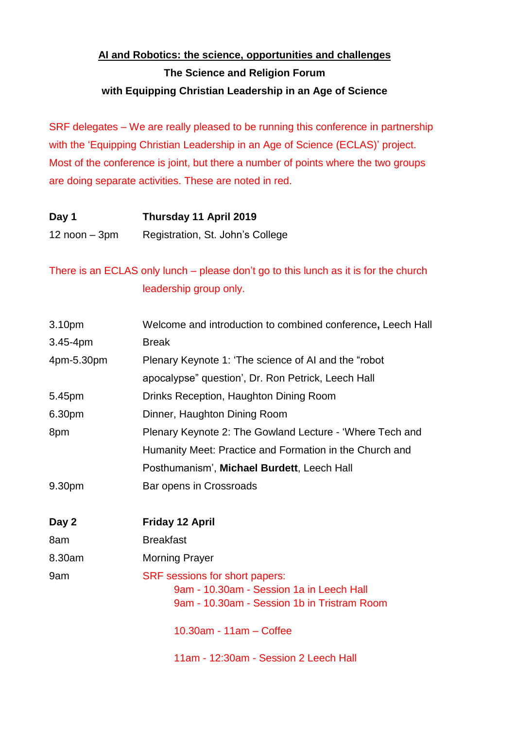## **AI and Robotics: the science, opportunities and challenges The Science and Religion Forum with Equipping Christian Leadership in an Age of Science**

SRF delegates – We are really pleased to be running this conference in partnership with the 'Equipping Christian Leadership in an Age of Science (ECLAS)' project. Most of the conference is joint, but there a number of points where the two groups are doing separate activities. These are noted in red.

| Day 1             | Thursday 11 April 2019           |
|-------------------|----------------------------------|
| $12$ noon $-3$ pm | Registration, St. John's College |

## There is an ECLAS only lunch – please don't go to this lunch as it is for the church leadership group only.

| 3.10pm       | Welcome and introduction to combined conference, Leech Hall                                                               |
|--------------|---------------------------------------------------------------------------------------------------------------------------|
| $3.45 - 4pm$ | <b>Break</b>                                                                                                              |
| 4pm-5.30pm   | Plenary Keynote 1: 'The science of AI and the "robot"                                                                     |
|              | apocalypse" question', Dr. Ron Petrick, Leech Hall                                                                        |
| 5.45pm       | Drinks Reception, Haughton Dining Room                                                                                    |
| 6.30pm       | Dinner, Haughton Dining Room                                                                                              |
| 8pm          | Plenary Keynote 2: The Gowland Lecture - 'Where Tech and                                                                  |
|              | Humanity Meet: Practice and Formation in the Church and                                                                   |
|              | Posthumanism', Michael Burdett, Leech Hall                                                                                |
| 9.30pm       | Bar opens in Crossroads                                                                                                   |
| Day 2        | <b>Friday 12 April</b>                                                                                                    |
| 8am          | <b>Breakfast</b>                                                                                                          |
| 8.30am       | <b>Morning Prayer</b>                                                                                                     |
| 9am          | SRF sessions for short papers:<br>9am - 10.30am - Session 1a in Leech Hall<br>9am - 10.30am - Session 1b in Tristram Room |
|              | 10.30am - 11am - Coffee                                                                                                   |
|              | 11am - 12:30am - Session 2 Leech Hall                                                                                     |